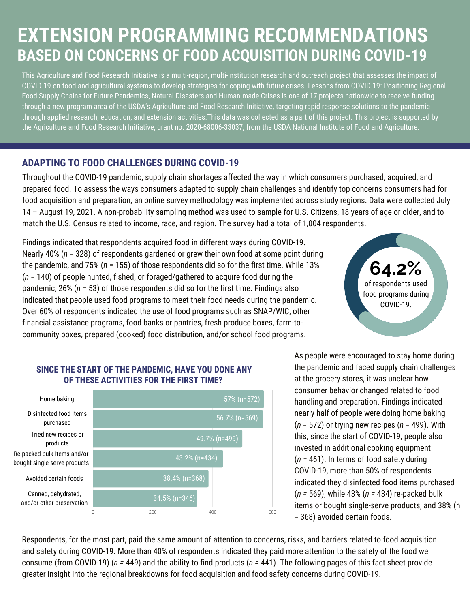# **EXTENSION PROGRAMMING RECOMMENDATIONS BASED ON CONCERNS OF FOOD ACQUISITION DURING COVID-19**

This Agriculture and Food Research Initiative is a multi-region, multi-institution research and outreach project that assesses the impact of COVID-19 on food and agricultural systems to develop strategies for coping with future crises. Lessons from COVID-19: Positioning Regional Food Supply Chains for Future Pandemics, Natural Disasters and Human-made Crises is one of 17 [projects](https://cris.nifa.usda.gov/cgi-bin/starfinder/0?path=fastlink1.txt&id=anon&pass=&search=(AN=1024156;1023886;1023941;1023601;1023636;1024148;1023963;1024476;1023801;1024141;1024254;1024248;1024308;1024145;1024252;1024486;1024378)&format=WEBTITLESGIY) nationwide to receive funding through a new [program](https://nifa.usda.gov/press-release/usda-nifa-grants-nearly-14-million-rapid-response-help-us-universities-find-scientific) area of the USDA's Agriculture and Food Research Initiative, targeting rapid response solutions to the pandemic through applied research, education, and extension activities.This data was collected as a part of this project. This project is supported by the Agriculture and Food Research Initiative, grant no. 2020-68006-33037, from the USDA National Institute of Food and Agriculture.

### **ADAPTING TO FOOD CHALLENGES DURING COVID-19**

Throughout the COVID-19 pandemic, supply chain shortages affected the way in which consumers purchased, acquired, and prepared food. To assess the ways consumers adapted to supply chain challenges and identify top concerns consumers had for food acquisition and preparation, an online survey methodology was implemented across study regions. Data were collected July 14 – August 19, 2021. A non-probability sampling method was used to sample for U.S. Citizens, 18 years of age or older, and to match the U.S. Census related to income, race, and region. The survey had a total of 1,004 respondents.

Findings indicated that respondents acquired food in different ways during COVID-19. Nearly 40% (*n =* 328) of respondents gardened or grew their own food at some point during the pandemic, and 75% (*n =* 155) of those respondents did so for the first time. While 13% (*n =* 140) of people hunted, fished, or foraged/gathered to acquire food during the pandemic, 26% (*n =* 53) of those respondents did so for the first time. Findings also indicated that people used food programs to meet their food needs during the pandemic. Over 60% of respondents indicated the use of food programs such as SNAP/WIC, other financial assistance programs, food banks or pantries, fresh produce boxes, farm-tocommunity boxes, prepared (cooked) food distribution, and/or school food programs.

# **64.2%** of respondents used food programs during COVID-19.

#### **SINCE THE START OF THE PANDEMIC, HAVE YOU DONE ANY OF THESE ACTIVITIES FOR THE FIRST TIME?**



As people were encouraged to stay home during the pandemic and faced supply chain challenges at the grocery stores, it was unclear how consumer behavior changed related to food handling and preparation. Findings indicated nearly half of people were doing home baking (*n =* 572) or trying new recipes (*n =* 499). With this, since the start of COVID-19, people also invested in additional cooking equipment (*n =* 461). In terms of food safety during COVID-19, more than 50% of respondents indicated they disinfected food items purchased (*n =* 569), while 43% (*n =* 434) re-packed bulk items or bought single-serve products, and 38% (n = 368) avoided certain foods.

Respondents, for the most part, paid the same amount of attention to concerns, risks, and barriers related to food acquisition and safety during COVID-19. More than 40% of respondents indicated they paid more attention to the safety of the food we consume (from COVID-19) (*n =* 449) and the ability to find products (*n =* 441). The following pages of this fact sheet provide greater insight into the regional breakdowns for food acquisition and food safety concerns during COVID-19.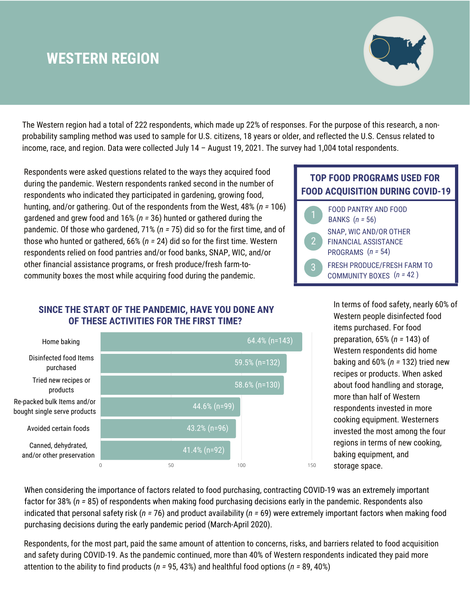## **WESTERN REGION**



The Western region had a total of 222 respondents, which made up 22% of responses. For the purpose of this research, a nonprobability sampling method was used to sample for U.S. citizens, 18 years or older, and reflected the U.S. Census related to income, race, and region. Data were collected July 14 – August 19, 2021. The survey had 1,004 total respondents.

Respondents were asked questions related to the ways they acquired food during the pandemic. Western respondents ranked second in the number of respondents who indicated they participated in gardening, growing food, hunting, and/or gathering. Out of the respondents from the West, 48% (*n =* 106) gardened and grew food and 16% (*n =* 36) hunted or gathered during the pandemic. Of those who gardened, 71% (*n =* 75) did so for the first time, and of those who hunted or gathered, 66% (*n =* 24) did so for the first time. Western respondents relied on food pantries and/or food banks, SNAP, WIC, and/or other financial assistance programs, or fresh produce/fresh farm-tocommunity boxes the most while acquiring food during the pandemic.

#### **SINCE THE START OF THE PANDEMIC, HAVE YOU DONE ANY OF THESE ACTIVITIES FOR THE FIRST TIME?**



### **TOP FOOD PROGRAMS USED FOR FOOD ACQUISITION DURING COVID-19**

|                | <b>FOOD PANTRY AND FOOD</b><br>BANKS $(n = 56)$                              |
|----------------|------------------------------------------------------------------------------|
| $\overline{2}$ | SNAP, WIC AND/OR OTHER<br><b>FINANCIAL ASSISTANCE</b><br>PROGRAMS $(n = 54)$ |
| Ŕ              | <b>FRESH PRODUCE/FRESH FARM TO</b><br>COMMUNITY BOXES $(n = 42)$             |

In terms of food safety, nearly 60% of Western people disinfected food items purchased. For food preparation, 65% (*n =* 143) of Western respondents did home baking and 60% (*n =* 132) tried new recipes or products. When asked about food handling and storage, more than half of Western respondents invested in more cooking equipment. Westerners invested the most among the four regions in terms of new cooking, baking equipment, and storage space.

When considering the importance of factors related to food purchasing, contracting COVID-19 was an extremely important factor for 38% (*n =* 85) of respondents when making food purchasing decisions early in the pandemic. Respondents also indicated that personal safety risk (*n =* 76) and product availability (*n =* 69) were extremely important factors when making food purchasing decisions during the early pandemic period (March-April 2020).

Respondents, for the most part, paid the same amount of attention to concerns, risks, and barriers related to food acquisition and safety during COVID-19. As the pandemic continued, more than 40% of Western respondents indicated they paid more attention to the ability to find products (*n =* 95, 43%) and healthful food options (*n =* 89, 40%)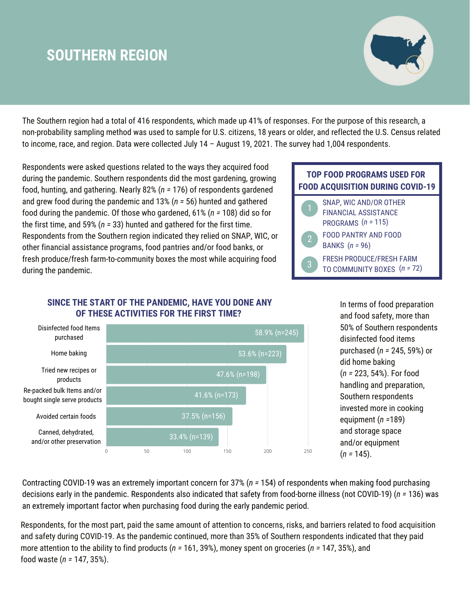## **SOUTHERN REGION**



The Southern region had a total of 416 respondents, which made up 41% of responses. For the purpose of this research, a non-probability sampling method was used to sample for U.S. citizens, 18 years or older, and reflected the U.S. Census related to income, race, and region. Data were collected July 14 – August 19, 2021. The survey had 1,004 respondents.

Respondents were asked questions related to the ways they acquired food during the pandemic. Southern respondents did the most gardening, growing food, hunting, and gathering. Nearly 82% (*n =* 176) of respondents gardened and grew food during the pandemic and 13% (*n =* 56) hunted and gathered food during the pandemic. Of those who gardened, 61% (*n =* 108) did so for the first time, and 59% (*n =* 33) hunted and gathered for the first time. Respondents from the Southern region indicated they relied on SNAP, WIC, or other financial assistance programs, food pantries and/or food banks, or fresh produce/fresh farm-to-community boxes the most while acquiring food during the pandemic.

#### **SINCE THE START OF THE PANDEMIC, HAVE YOU DONE ANY OF THESE ACTIVITIES FOR THE FIRST TIME?**



In terms of food preparation and food safety, more than 50% of Southern respondents disinfected food items purchased (*n =* 245, 59%) or did home baking (*n =* 223, 54%). For food handling and preparation, Southern respondents invested more in cooking equipment (*n =*189) and storage space and/or equipment (*n =* 145).

Contracting COVID-19 was an extremely important concern for 37% (*n =* 154) of respondents when making food purchasing decisions early in the pandemic. Respondents also indicated that safety from food-borne illness (not COVID-19) (*n =* 136) was an extremely important factor when purchasing food during the early pandemic period.

Respondents, for the most part, paid the same amount of attention to concerns, risks, and barriers related to food acquisition and safety during COVID-19. As the pandemic continued, more than 35% of Southern respondents indicated that they paid more attention to the ability to find products (*n =* 161, 39%), money spent on groceries (*n =* 147, 35%), and food waste (*n =* 147, 35%).

### **TOP FOOD PROGRAMS USED FOR FOOD ACQUISITION DURING COVID-19**

|                | SNAP, WIC AND/OR OTHER<br><b>FINANCIAL ASSISTANCE</b><br>PROGRAMS $(n = 115)$ |
|----------------|-------------------------------------------------------------------------------|
| $\overline{2}$ | <b>FOOD PANTRY AND FOOD</b><br>BANKS $(n = 96)$                               |
| 3              | <b>FRESH PRODUCE/FRESH FARM</b><br>TO COMMUNITY BOXES $(n = 72)$              |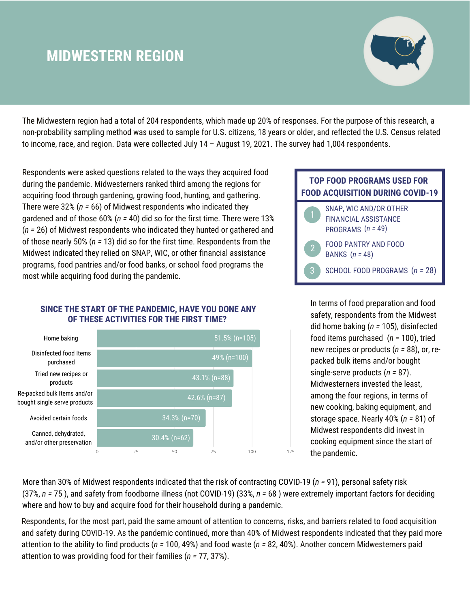## **MIDWESTERN REGION**



The Midwestern region had a total of 204 respondents, which made up 20% of responses. For the purpose of this research, a non-probability sampling method was used to sample for U.S. citizens, 18 years or older, and reflected the U.S. Census related to income, race, and region. Data were collected July 14 – August 19, 2021. The survey had 1,004 respondents.

Respondents were asked questions related to the ways they acquired food during the pandemic. Midwesterners ranked third among the regions for acquiring food through gardening, growing food, hunting, and gathering. There were 32% (*n =* 66) of Midwest respondents who indicated they gardened and of those 60% (*n =* 40) did so for the first time. There were 13% (*n =* 26) of Midwest respondents who indicated they hunted or gathered and of those nearly 50% (*n =* 13) did so for the first time. Respondents from the Midwest indicated they relied on SNAP, WIC, or other financial assistance programs, food pantries and/or food banks, or school food programs the most while acquiring food during the pandemic.

#### **SINCE THE START OF THE PANDEMIC, HAVE YOU DONE ANY OF THESE ACTIVITIES FOR THE FIRST TIME?**



#### **TOP FOOD PROGRAMS USED FOR FOOD ACQUISITION DURING COVID-19**

|                | SNAP, WIC AND/OR OTHER<br><b>FINANCIAL ASSISTANCE</b><br>PROGRAMS $(n = 49)$ |
|----------------|------------------------------------------------------------------------------|
| $\overline{2}$ | <b>FOOD PANTRY AND FOOD</b><br>BANKS $(n = 48)$                              |
|                | SCHOOL FOOD PROGRAMS $(n = 28)$                                              |

In terms of food preparation and food safety, respondents from the Midwest did home baking (*n =* 105), disinfected food items purchased (*n =* 100), tried new recipes or products (*n =* 88), or, repacked bulk items and/or bought single-serve products (*n =* 87). Midwesterners invested the least, among the four regions, in terms of new cooking, baking equipment, and storage space. Nearly 40% (*n =* 81) of Midwest respondents did invest in cooking equipment since the start of the pandemic.

More than 30% of Midwest respondents indicated that the risk of contracting COVID-19 (*n =* 91), personal safety risk (37%, *n =* 75 ), and safety from foodborne illness (not COVID-19) (33%, *n =* 68 ) were extremely important factors for deciding where and how to buy and acquire food for their household during a pandemic.

Respondents, for the most part, paid the same amount of attention to concerns, risks, and barriers related to food acquisition and safety during COVID-19. As the pandemic continued, more than 40% of Midwest respondents indicated that they paid more attention to the ability to find products (*n =* 100, 49%) and food waste (*n =* 82, 40%). Another concern Midwesterners paid attention to was providing food for their families (*n =* 77, 37%).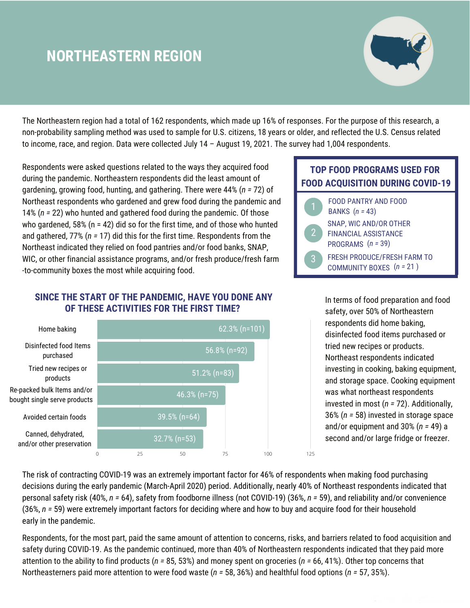## **NORTHEASTERN REGION**



The Northeastern region had a total of 162 respondents, which made up 16% of responses. For the purpose of this research, a non-probability sampling method was used to sample for U.S. citizens, 18 years or older, and reflected the U.S. Census related to income, race, and region. Data were collected July 14 – August 19, 2021. The survey had 1,004 respondents.

Respondents were asked questions related to the ways they acquired food during the pandemic. Northeastern respondents did the least amount of gardening, growing food, hunting, and gathering. There were 44% (*n =* 72) of Northeast respondents who gardened and grew food during the pandemic and 14% (*n =* 22) who hunted and gathered food during the pandemic. Of those who gardened,  $58\%$  (n = 42) did so for the first time, and of those who hunted and gathered, 77% (*n =* 17) did this for the first time. Respondents from the Northeast indicated they relied on food pantries and/or food banks, SNAP, WIC, or other financial assistance programs, and/or fresh produce/fresh farm -to-community boxes the most while acquiring food.

#### **SINCE THE START OF THE PANDEMIC, HAVE YOU DONE ANY OF THESE ACTIVITIES FOR THE FIRST TIME?**



## **TOP FOOD PROGRAMS USED FOR FOOD ACQUISITION DURING COVID-19**



In terms of food preparation and food safety, over 50% of Northeastern respondents did home baking, disinfected food items purchased or tried new recipes or products. Northeast respondents indicated investing in cooking, baking equipment, and storage space. Cooking equipment was what northeast respondents invested in most (*n =* 72). Additionally, 36% (*n =* 58) invested in storage space and/or equipment and 30% (*n =* 49) a second and/or large fridge or freezer.

The risk of contracting COVID-19 was an extremely important factor for 46% of respondents when making food purchasing decisions during the early pandemic (March-April 2020) period. Additionally, nearly 40% of Northeast respondents indicated that personal safety risk (40%, *n =* 64), safety from foodborne illness (not COVID-19) (36%, *n =* 59), and reliability and/or convenience (36%, *n =* 59) were extremely important factors for deciding where and how to buy and acquire food for their household early in the pandemic.

Respondents, for the most part, paid the same amount of attention to concerns, risks, and barriers related to food acquisition and safety during COVID-19. As the pandemic continued, more than 40% of Northeastern respondents indicated that they paid more attention to the ability to find products (*n =* 85, 53%) and money spent on groceries (*n =* 66, 41%). Other top concerns that Northeasterners paid more attention to were food waste (*n =* 58, 36%) and healthful food options (*n =* 57, 35%).